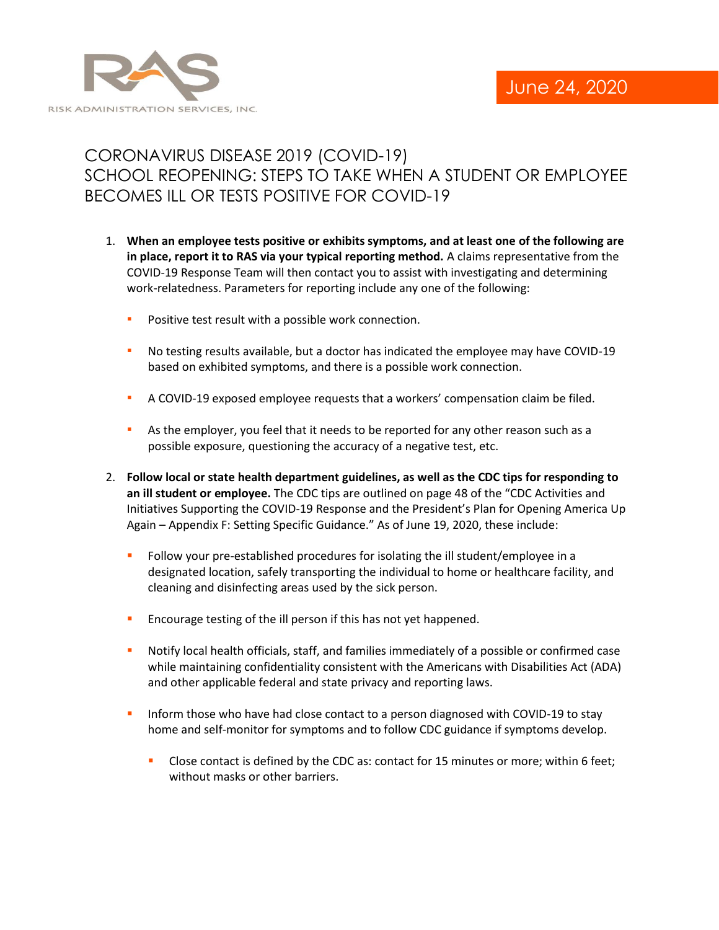

## CORONAVIRUS DISEASE 2019 (COVID-19) SCHOOL REOPENING: STEPS TO TAKE WHEN A STUDENT OR EMPLOYEE BECOMES ILL OR TESTS POSITIVE FOR COVID-19

- 1. **When an employee tests positive or exhibits symptoms, and at least one of the following are in place, report it to RAS via your typical reporting method.** A claims representative from the COVID-19 Response Team will then contact you to assist with investigating and determining work-relatedness. Parameters for reporting include any one of the following:
	- **•** Positive test result with a possible work connection.
	- **•** No testing results available, but a doctor has indicated the employee may have COVID-19 based on exhibited symptoms, and there is a possible work connection.
	- A COVID-19 exposed employee requests that a workers' compensation claim be filed.
	- **EXECT** As the employer, you feel that it needs to be reported for any other reason such as a possible exposure, questioning the accuracy of a negative test, etc.
- 2. **Follow local or state health department guidelines, as well as the CDC tips for responding to an ill student or employee.** The CDC tips are outlined on page 48 of the "CDC Activities and Initiatives Supporting the COVID-19 Response and the President's Plan for Opening America Up Again – Appendix F: Setting Specific Guidance." As of June 19, 2020, these include:
	- **•** Follow your pre-established procedures for isolating the ill student/employee in a designated location, safely transporting the individual to home or healthcare facility, and cleaning and disinfecting areas used by the sick person.
	- **Encourage testing of the ill person if this has not yet happened.**
	- Notify local health officials, staff, and families immediately of a possible or confirmed case while maintaining confidentiality consistent with the Americans with Disabilities Act (ADA) and other applicable federal and state privacy and reporting laws.
	- **.** Inform those who have had close contact to a person diagnosed with COVID-19 to stay home and self-monitor for symptoms and to follow CDC guidance if symptoms develop.
		- Close contact is defined by the CDC as: contact for 15 minutes or more; within 6 feet; without masks or other barriers.